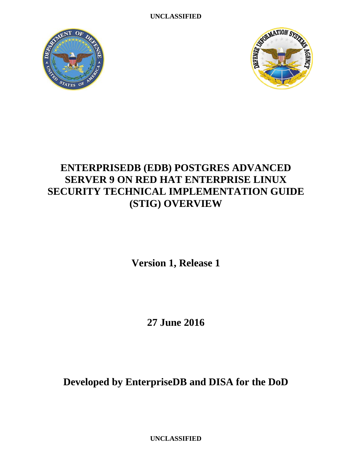**UNCLASSIFIED**





# **ENTERPRISEDB (EDB) POSTGRES ADVANCED SERVER 9 ON RED HAT ENTERPRISE LINUX SECURITY TECHNICAL IMPLEMENTATION GUIDE (STIG) OVERVIEW**

**Version 1, Release 1**

**27 June 2016**

**Developed by EnterpriseDB and DISA for the DoD**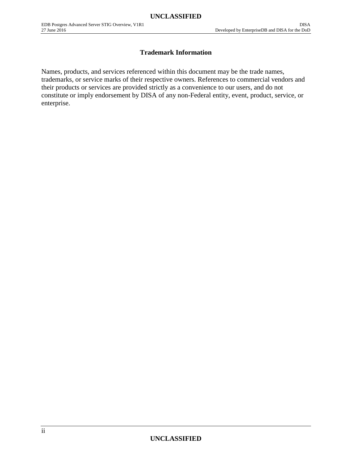## **Trademark Information**

Names, products, and services referenced within this document may be the trade names, trademarks, or service marks of their respective owners. References to commercial vendors and their products or services are provided strictly as a convenience to our users, and do not constitute or imply endorsement by DISA of any non-Federal entity, event, product, service, or enterprise.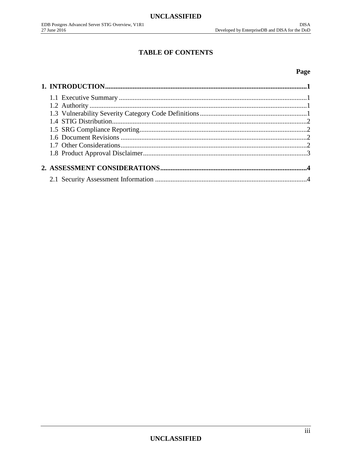# **TABLE OF CONTENTS**

## Page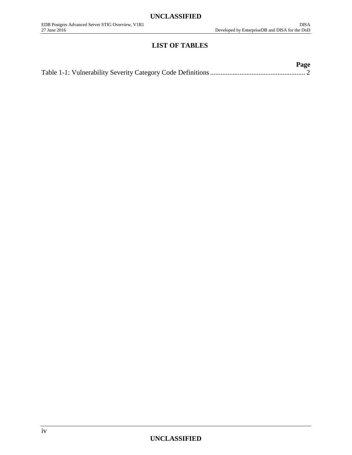## **LIST OF TABLES**

| Page |
|------|
|      |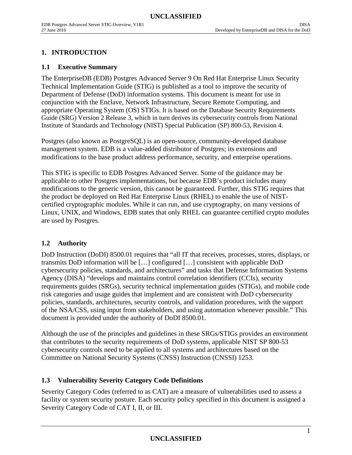## <span id="page-4-0"></span>**1. INTRODUCTION**

#### <span id="page-4-1"></span>**1.1 Executive Summary**

The EnterpriseDB (EDB) Postgres Advanced Server 9 On Red Hat Enterprise Linux Security Technical Implementation Guide (STIG) is published as a tool to improve the security of Department of Defense (DoD) information systems. This document is meant for use in conjunction with the Enclave, Network Infrastructure, Secure Remote Computing, and appropriate Operating System (OS) STIGs. It is based on the Database Security Requirements Guide (SRG) Version 2 Release 3, which in turn derives its cybersecurity controls from National Institute of Standards and Technology (NIST) Special Publication (SP) 800-53, Revision 4.

Postgres (also known as PostgreSQL) is an open-source, community-developed database management system. EDB is a value-added distributor of Postgres; its extensions and modifications to the base product address performance, security, and enterprise operations.

This STIG is specific to EDB Postgres Advanced Server. Some of the guidance may be applicable to other Postgres implementations, but because EDB's product includes many modifications to the generic version, this cannot be guaranteed. Further, this STIG requires that the product be deployed on Red Hat Enterprise Linux (RHEL) to enable the use of NISTcertified cryptographic modules. While it can run, and use cryptography, on many versions of Linux, UNIX, and Windows, EDB states that only RHEL can guarantee certified crypto modules are used by Postgres.

#### <span id="page-4-2"></span>**1.2 Authority**

DoD Instruction (DoDI) 8500.01 requires that "all IT that receives, processes, stores, displays, or transmits DoD information will be […] configured […] consistent with applicable DoD cybersecurity policies, standards, and architectures" and tasks that Defense Information Systems Agency (DISA) "develops and maintains control correlation identifiers (CCIs), security requirements guides (SRGs), security technical implementation guides (STIGs), and mobile code risk categories and usage guides that implement and are consistent with DoD cybersecurity policies, standards, architectures, security controls, and validation procedures, with the support of the NSA/CSS, using input from stakeholders, and using automation whenever possible." This document is provided under the authority of DoDI 8500.01.

Although the use of the principles and guidelines in these SRGs/STIGs provides an environment that contributes to the security requirements of DoD systems, applicable NIST SP 800-53 cybersecurity controls need to be applied to all systems and architectures based on the Committee on National Security Systems (CNSS) Instruction (CNSSI) 1253.

#### <span id="page-4-3"></span>**1.3 Vulnerability Severity Category Code Definitions**

Severity Category Codes (referred to as CAT) are a measure of vulnerabilities used to assess a facility or system security posture. Each security policy specified in this document is assigned a Severity Category Code of CAT I, II, or III.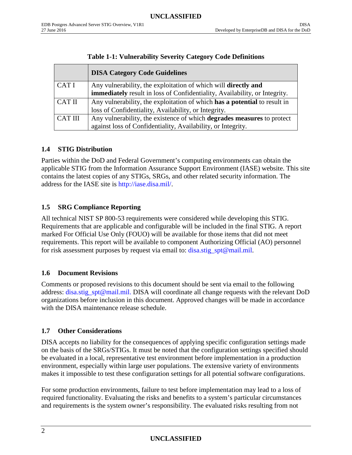<span id="page-5-4"></span>

|                | <b>DISA Category Code Guidelines</b>                                              |
|----------------|-----------------------------------------------------------------------------------|
| CAT I          | Any vulnerability, the exploitation of which will <b>directly and</b>             |
|                | <b>immediately</b> result in loss of Confidentiality, Availability, or Integrity. |
| <b>CAT II</b>  | Any vulnerability, the exploitation of which has a potential to result in         |
|                | loss of Confidentiality, Availability, or Integrity.                              |
| <b>CAT III</b> | Any vulnerability, the existence of which <b>degrades measures</b> to protect     |
|                | against loss of Confidentiality, Availability, or Integrity.                      |

## **Table 1-1: Vulnerability Severity Category Code Definitions**

## <span id="page-5-0"></span>**1.4 STIG Distribution**

Parties within the DoD and Federal Government's computing environments can obtain the applicable STIG from the Information Assurance Support Environment (IASE) website. This site contains the latest copies of any STIGs, SRGs, and other related security information. The address for the IASE site is [http://iase.disa.mil/.](http://iase.disa.mil/)

## <span id="page-5-1"></span>**1.5 SRG Compliance Reporting**

All technical NIST SP 800-53 requirements were considered while developing this STIG. Requirements that are applicable and configurable will be included in the final STIG. A report marked For Official Use Only (FOUO) will be available for those items that did not meet requirements. This report will be available to component Authorizing Official (AO) personnel for risk assessment purposes by request via email to: [disa.stig\\_spt@mail.mil.](mailto:disa.stig_spt@mail.mil)

## <span id="page-5-2"></span>**1.6 Document Revisions**

Comments or proposed revisions to this document should be sent via email to the following address: [disa.stig\\_spt@mail.mil.](mailto:disa.stig_spt@mail.mil) DISA will coordinate all change requests with the relevant DoD organizations before inclusion in this document. Approved changes will be made in accordance with the DISA maintenance release schedule.

## <span id="page-5-3"></span>**1.7 Other Considerations**

DISA accepts no liability for the consequences of applying specific configuration settings made on the basis of the SRGs/STIGs. It must be noted that the configuration settings specified should be evaluated in a local, representative test environment before implementation in a production environment, especially within large user populations. The extensive variety of environments makes it impossible to test these configuration settings for all potential software configurations.

For some production environments, failure to test before implementation may lead to a loss of required functionality. Evaluating the risks and benefits to a system's particular circumstances and requirements is the system owner's responsibility. The evaluated risks resulting from not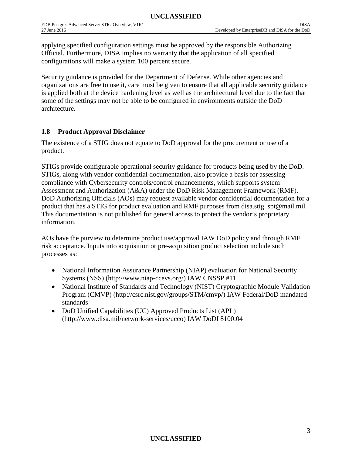applying specified configuration settings must be approved by the responsible Authorizing Official. Furthermore, DISA implies no warranty that the application of all specified configurations will make a system 100 percent secure.

Security guidance is provided for the Department of Defense. While other agencies and organizations are free to use it, care must be given to ensure that all applicable security guidance is applied both at the device hardening level as well as the architectural level due to the fact that some of the settings may not be able to be configured in environments outside the DoD architecture.

#### <span id="page-6-0"></span>**1.8 Product Approval Disclaimer**

The existence of a STIG does not equate to DoD approval for the procurement or use of a product.

STIGs provide configurable operational security guidance for products being used by the DoD. STIGs, along with vendor confidential documentation, also provide a basis for assessing compliance with Cybersecurity controls/control enhancements, which supports system Assessment and Authorization (A&A) under the DoD Risk Management Framework (RMF). DoD Authorizing Officials (AOs) may request available vendor confidential documentation for a product that has a STIG for product evaluation and RMF purposes from disa.stig\_spt@mail.mil. This documentation is not published for general access to protect the vendor's proprietary information.

AOs have the purview to determine product use/approval IAW DoD policy and through RMF risk acceptance. Inputs into acquisition or pre-acquisition product selection include such processes as:

- National Information Assurance Partnership (NIAP) evaluation for National Security Systems (NSS) (http://www.niap-ccevs.org/) IAW CNSSP #11
- National Institute of Standards and Technology (NIST) Cryptographic Module Validation Program (CMVP) (http://csrc.nist.gov/groups/STM/cmvp/) IAW Federal/DoD mandated standards
- DoD Unified Capabilities (UC) Approved Products List (APL) (http://www.disa.mil/network-services/ucco) IAW DoDI 8100.04